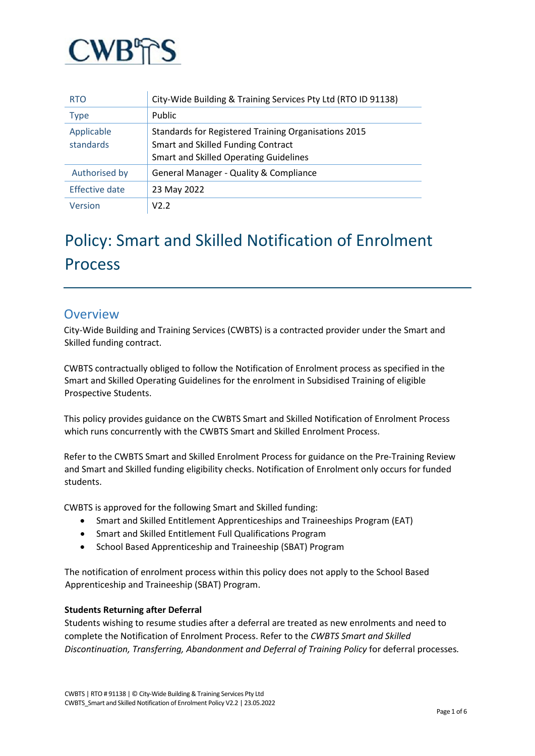

| <b>RTO</b>              | City-Wide Building & Training Services Pty Ltd (RTO ID 91138)                                                                               |
|-------------------------|---------------------------------------------------------------------------------------------------------------------------------------------|
| <b>Type</b>             | Public                                                                                                                                      |
| Applicable<br>standards | Standards for Registered Training Organisations 2015<br>Smart and Skilled Funding Contract<br><b>Smart and Skilled Operating Guidelines</b> |
| Authorised by           | General Manager - Quality & Compliance                                                                                                      |
| Effective date          | 23 May 2022                                                                                                                                 |
| Version                 | V2.2                                                                                                                                        |

# Policy: Smart and Skilled Notification of Enrolment Process

### **Overview**

City-Wide Building and Training Services (CWBTS) is a contracted provider under the Smart and Skilled funding contract.

CWBTS contractually obliged to follow the Notification of Enrolment process as specified in the Smart and Skilled Operating Guidelines for the enrolment in Subsidised Training of eligible Prospective Students.

This policy provides guidance on the CWBTS Smart and Skilled Notification of Enrolment Process which runs concurrently with the CWBTS Smart and Skilled Enrolment Process.

Refer to the CWBTS Smart and Skilled Enrolment Process for guidance on the Pre-Training Review and Smart and Skilled funding eligibility checks. Notification of Enrolment only occurs for funded students.

CWBTS is approved for the following Smart and Skilled funding:

- Smart and Skilled Entitlement Apprenticeships and Traineeships Program (EAT)
- Smart and Skilled Entitlement Full Qualifications Program
- School Based Apprenticeship and Traineeship (SBAT) Program

The notification of enrolment process within this policy does not apply to the School Based Apprenticeship and Traineeship (SBAT) Program.

#### **Students Returning after Deferral**

Students wishing to resume studies after a deferral are treated as new enrolments and need to complete the Notification of Enrolment Process. Refer to the *CWBTS Smart and Skilled Discontinuation, Transferring, Abandonment and Deferral of Training Policy* for deferral processes*.*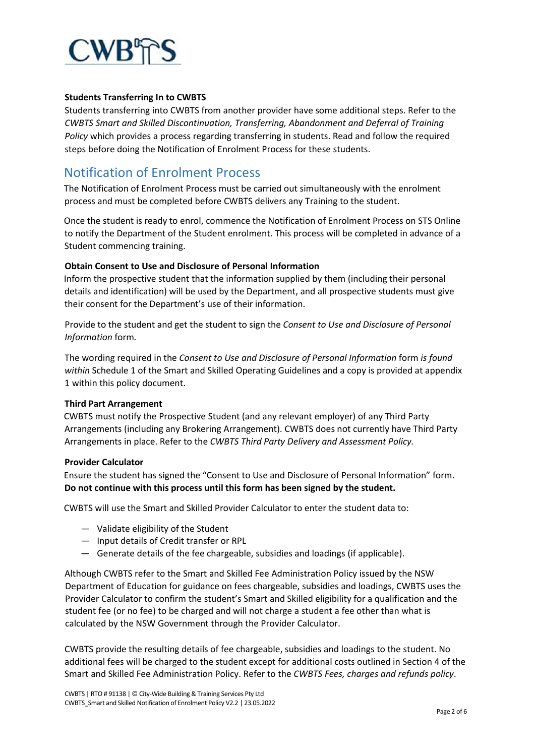

#### **Students Transferring In to CWBTS**

Students transferring into CWBTS from another provider have some additional steps. Refer to the *CWBTS Smart and Skilled Discontinuation, Transferring, Abandonment and Deferral of Training Policy* which provides a process regarding transferring in students. Read and follow the required steps before doing the Notification of Enrolment Process for these students.

## Notification of Enrolment Process

The Notification of Enrolment Process must be carried out simultaneously with the enrolment process and must be completed before CWBTS delivers any Training to the student.

Once the student is ready to enrol, commence the Notification of Enrolment Process on STS Online to notify the Department of the Student enrolment. This process will be completed in advance of a Student commencing training.

#### **Obtain Consent to Use and Disclosure of Personal Information**

Inform the prospective student that the information supplied by them (including their personal details and identification) will be used by the Department, and all prospective students must give their consent for the Department's use of their information.

Provide to the student and get the student to sign the *Consent to Use and Disclosure of Personal Information* form*.* 

The wording required in the *Consent to Use and Disclosure of Personal Information* form *is found within* Schedule 1 of the Smart and Skilled Operating Guidelines and a copy is provided at appendix 1 within this policy document.

#### **Third Part Arrangement**

CWBTS must notify the Prospective Student (and any relevant employer) of any Third Party Arrangements (including any Brokering Arrangement). CWBTS does not currently have Third Party Arrangements in place. Refer to the *CWBTS Third Party Delivery and Assessment Policy.*

#### **Provider Calculator**

Ensure the student has signed the "Consent to Use and Disclosure of Personal Information" form. **Do not continue with this process until this form has been signed by the student.**

CWBTS will use the Smart and Skilled Provider Calculator to enter the student data to:

- Validate eligibility of the Student
- Input details of Credit transfer or RPL
- Generate details of the fee chargeable, subsidies and loadings (if applicable).

Although CWBTS refer to the Smart and Skilled Fee Administration Policy issued by the NSW Department of Education for guidance on fees chargeable, subsidies and loadings, CWBTS uses the Provider Calculator to confirm the student's Smart and Skilled eligibility for a qualification and the student fee (or no fee) to be charged and will not charge a student a fee other than what is calculated by the NSW Government through the Provider Calculator.

CWBTS provide the resulting details of fee chargeable, subsidies and loadings to the student. No additional fees will be charged to the student except for additional costs outlined in Section 4 of the Smart and Skilled Fee Administration Policy. Refer to the *CWBTS Fees, charges and refunds policy*.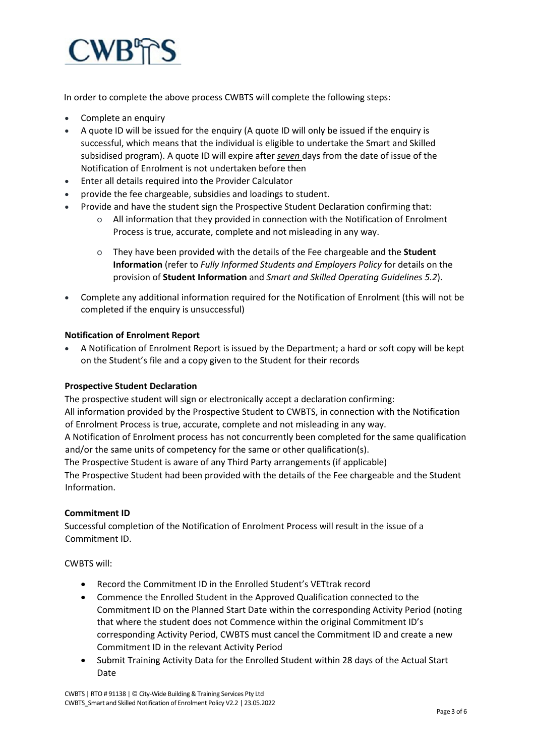

In order to complete the above process CWBTS will complete the following steps:

- Complete an enquiry
- A quote ID will be issued for the enquiry (A quote ID will only be issued if the enquiry is successful, which means that the individual is eligible to undertake the Smart and Skilled subsidised program). A quote ID will expire after *seven* days from the date of issue of the Notification of Enrolment is not undertaken before then
- Enter all details required into the Provider Calculator
- provide the fee chargeable, subsidies and loadings to student.
- Provide and have the student sign the Prospective Student Declaration confirming that:
	- o All information that they provided in connection with the Notification of Enrolment Process is true, accurate, complete and not misleading in any way.
	- o They have been provided with the details of the Fee chargeable and the **Student Information** (refer to *Fully Informed Students and Employers Policy* for details on the provision of **Student Information** and *Smart and Skilled Operating Guidelines 5.2*).
- Complete any additional information required for the Notification of Enrolment (this will not be completed if the enquiry is unsuccessful)

#### **Notification of Enrolment Report**

• A Notification of Enrolment Report is issued by the Department; a hard or soft copy will be kept on the Student's file and a copy given to the Student for their records

#### **Prospective Student Declaration**

The prospective student will sign or electronically accept a declaration confirming:

All information provided by the Prospective Student to CWBTS, in connection with the Notification of Enrolment Process is true, accurate, complete and not misleading in any way.

A Notification of Enrolment process has not concurrently been completed for the same qualification and/or the same units of competency for the same or other qualification(s).

The Prospective Student is aware of any Third Party arrangements (if applicable)

The Prospective Student had been provided with the details of the Fee chargeable and the Student Information.

#### **Commitment ID**

Successful completion of the Notification of Enrolment Process will result in the issue of a Commitment ID.

CWBTS will:

- Record the Commitment ID in the Enrolled Student's VETtrak record
- Commence the Enrolled Student in the Approved Qualification connected to the Commitment ID on the Planned Start Date within the corresponding Activity Period (noting that where the student does not Commence within the original Commitment ID's corresponding Activity Period, CWBTS must cancel the Commitment ID and create a new Commitment ID in the relevant Activity Period
- Submit Training Activity Data for the Enrolled Student within 28 days of the Actual Start Date

CWBTS | RTO # 91138 | © City-Wide Building & Training Services Pty Ltd CWBTS\_Smart and Skilled Notification of Enrolment Policy V2.2 | 23.05.2022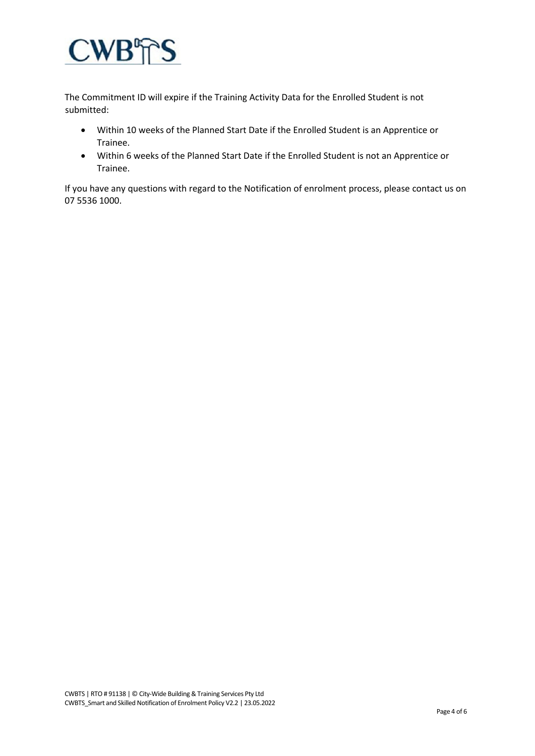

The Commitment ID will expire if the Training Activity Data for the Enrolled Student is not submitted:

- Within 10 weeks of the Planned Start Date if the Enrolled Student is an Apprentice or Trainee.
- Within 6 weeks of the Planned Start Date if the Enrolled Student is not an Apprentice or Trainee.

If you have any questions with regard to the Notification of enrolment process, please contact us on 07 5536 1000.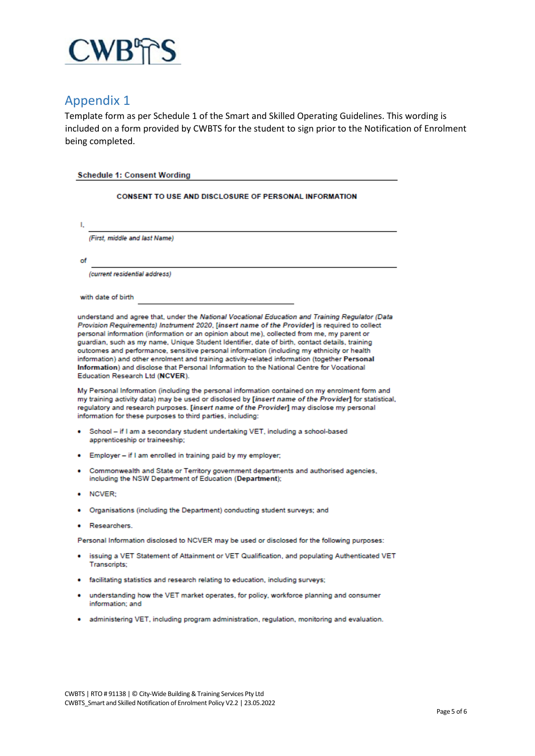

## Appendix 1

Template form as per Schedule 1 of the Smart and Skilled Operating Guidelines. This wording is included on a form provided by CWBTS for the student to sign prior to the Notification of Enrolment being completed.

| <b>Schedule 1: Consent Wording</b>                                                                                                                                                                                                                                                                                                                                                                                                                                                                                                                                                                                                                                                                                              |  |
|---------------------------------------------------------------------------------------------------------------------------------------------------------------------------------------------------------------------------------------------------------------------------------------------------------------------------------------------------------------------------------------------------------------------------------------------------------------------------------------------------------------------------------------------------------------------------------------------------------------------------------------------------------------------------------------------------------------------------------|--|
| <b>CONSENT TO USE AND DISCLOSURE OF PERSONAL INFORMATION</b>                                                                                                                                                                                                                                                                                                                                                                                                                                                                                                                                                                                                                                                                    |  |
| ı.                                                                                                                                                                                                                                                                                                                                                                                                                                                                                                                                                                                                                                                                                                                              |  |
| (First, middle and last Name)                                                                                                                                                                                                                                                                                                                                                                                                                                                                                                                                                                                                                                                                                                   |  |
| of                                                                                                                                                                                                                                                                                                                                                                                                                                                                                                                                                                                                                                                                                                                              |  |
| (current residential address)                                                                                                                                                                                                                                                                                                                                                                                                                                                                                                                                                                                                                                                                                                   |  |
| with date of birth                                                                                                                                                                                                                                                                                                                                                                                                                                                                                                                                                                                                                                                                                                              |  |
| understand and agree that, under the National Vocational Education and Training Regulator (Data<br>Provision Requirements) Instrument 2020, [insert name of the Provider] is required to collect<br>personal information (information or an opinion about me), collected from me, my parent or<br>guardian, such as my name, Unique Student Identifier, date of birth, contact details, training<br>outcomes and performance, sensitive personal information (including my ethnicity or health<br>information) and other enrolment and training activity-related information (together Personal<br>Information) and disclose that Personal Information to the National Centre for Vocational<br>Education Research Ltd (NCVER). |  |
| My Personal Information (including the personal information contained on my enrolment form and<br>my training activity data) may be used or disclosed by [insert name of the Provider] for statistical,<br>regulatory and research purposes. [insert name of the Provider] may disclose my personal<br>information for these purposes to third parties, including:                                                                                                                                                                                                                                                                                                                                                              |  |
| School - if I am a secondary student undertaking VET, including a school-based<br>apprenticeship or traineeship;                                                                                                                                                                                                                                                                                                                                                                                                                                                                                                                                                                                                                |  |
| Employer - if I am enrolled in training paid by my employer;                                                                                                                                                                                                                                                                                                                                                                                                                                                                                                                                                                                                                                                                    |  |
| Commonwealth and State or Territory government departments and authorised agencies,<br>including the NSW Department of Education (Department);                                                                                                                                                                                                                                                                                                                                                                                                                                                                                                                                                                                  |  |
| NCVER:                                                                                                                                                                                                                                                                                                                                                                                                                                                                                                                                                                                                                                                                                                                          |  |
| Organisations (including the Department) conducting student surveys; and                                                                                                                                                                                                                                                                                                                                                                                                                                                                                                                                                                                                                                                        |  |
| Researchers.                                                                                                                                                                                                                                                                                                                                                                                                                                                                                                                                                                                                                                                                                                                    |  |
| Personal Information disclosed to NCVER may be used or disclosed for the following purposes:                                                                                                                                                                                                                                                                                                                                                                                                                                                                                                                                                                                                                                    |  |
| issuing a VET Statement of Attainment or VET Qualification, and populating Authenticated VET<br>Transcripts;                                                                                                                                                                                                                                                                                                                                                                                                                                                                                                                                                                                                                    |  |
| • facilitating statistics and research relating to education, including surveys;                                                                                                                                                                                                                                                                                                                                                                                                                                                                                                                                                                                                                                                |  |
| understanding how the VET market operates, for policy, workforce planning and consumer<br>information: and                                                                                                                                                                                                                                                                                                                                                                                                                                                                                                                                                                                                                      |  |
| administering VET, including program administration, regulation, monitoring and evaluation.                                                                                                                                                                                                                                                                                                                                                                                                                                                                                                                                                                                                                                     |  |